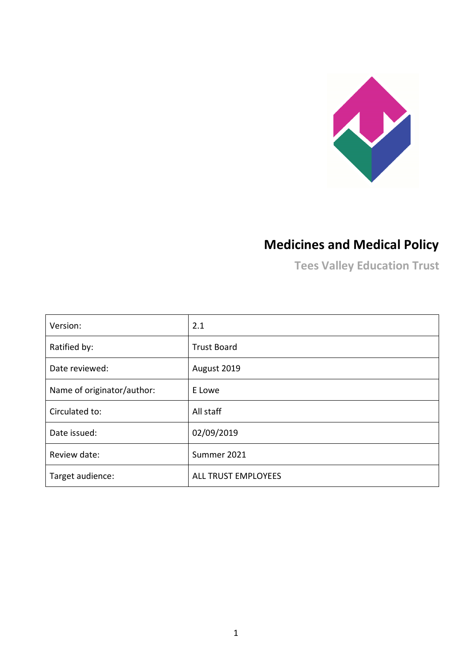

# **Medicines and Medical Policy**

**Tees Valley Education Trust**

| Version:                   | 2.1                 |
|----------------------------|---------------------|
| Ratified by:               | <b>Trust Board</b>  |
| Date reviewed:             | August 2019         |
| Name of originator/author: | E Lowe              |
| Circulated to:             | All staff           |
| Date issued:               | 02/09/2019          |
| Review date:               | Summer 2021         |
| Target audience:           | ALL TRUST EMPLOYEES |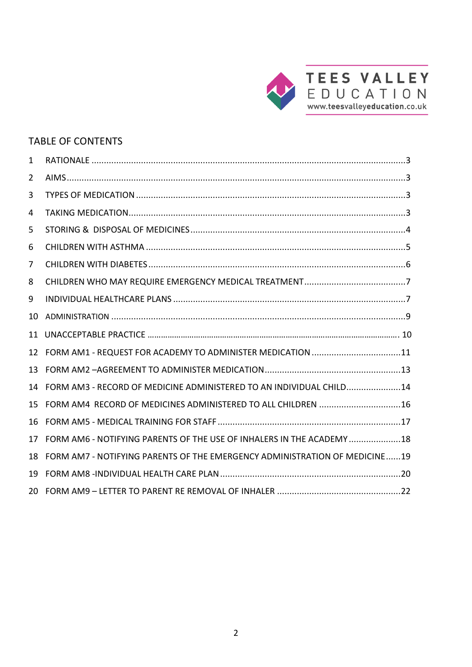

# TABLE OF CONTENTS

| 1   |                                                                            |
|-----|----------------------------------------------------------------------------|
| 2   |                                                                            |
| 3   |                                                                            |
| 4   |                                                                            |
| 5   |                                                                            |
| 6   |                                                                            |
| 7   |                                                                            |
| 8   |                                                                            |
| 9   |                                                                            |
| 10  |                                                                            |
| 11  |                                                                            |
| 12  | FORM AM1 - REQUEST FOR ACADEMY TO ADMINISTER MEDICATION 11                 |
| 13  |                                                                            |
| 14  | FORM AM3 - RECORD OF MEDICINE ADMINISTERED TO AN INDIVIDUAL CHILD14        |
| 15  | FORM AM4 RECORD OF MEDICINES ADMINISTERED TO ALL CHILDREN 16               |
| 16  |                                                                            |
| 17  | FORM AM6 - NOTIFYING PARENTS OF THE USE OF INHALERS IN THE ACADEMY  18     |
| 18  | FORM AM7 - NOTIFYING PARENTS OF THE EMERGENCY ADMINISTRATION OF MEDICINE19 |
| 19  |                                                                            |
| 20. |                                                                            |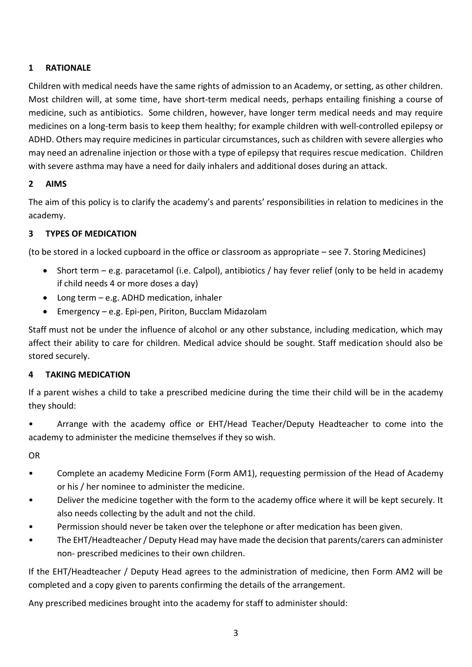## <span id="page-2-0"></span>**1 RATIONALE**

Children with medical needs have the same rights of admission to an Academy, or setting, as other children. Most children will, at some time, have short-term medical needs, perhaps entailing finishing a course of medicine, such as antibiotics. Some children, however, have longer term medical needs and may require medicines on a long-term basis to keep them healthy; for example children with well-controlled epilepsy or ADHD. Others may require medicines in particular circumstances, such as children with severe allergies who may need an adrenaline injection or those with a type of epilepsy that requires rescue medication. Children with severe asthma may have a need for daily inhalers and additional doses during an attack.

#### <span id="page-2-1"></span>**2 AIMS**

The aim of this policy is to clarify the academy's and parents' responsibilities in relation to medicines in the academy.

#### <span id="page-2-2"></span>**3 TYPES OF MEDICATION**

(to be stored in a locked cupboard in the office or classroom as appropriate – see 7. Storing Medicines)

- Short term e.g. paracetamol (i.e. Calpol), antibiotics / hay fever relief (only to be held in academy if child needs 4 or more doses a day)
- Long term e.g. ADHD medication, inhaler
- Emergency e.g. Epi-pen, Piriton, Bucclam Midazolam

Staff must not be under the influence of alcohol or any other substance, including medication, which may affect their ability to care for children. Medical advice should be sought. Staff medication should also be stored securely.

#### <span id="page-2-3"></span>**4 TAKING MEDICATION**

If a parent wishes a child to take a prescribed medicine during the time their child will be in the academy they should:

• Arrange with the academy office or EHT/Head Teacher/Deputy Headteacher to come into the academy to administer the medicine themselves if they so wish.

OR

- Complete an academy Medicine Form (Form AM1), requesting permission of the Head of Academy or his / her nominee to administer the medicine.
- Deliver the medicine together with the form to the academy office where it will be kept securely. It also needs collecting by the adult and not the child.
- Permission should never be taken over the telephone or after medication has been given.
- The EHT/Headteacher / Deputy Head may have made the decision that parents/carers can administer non- prescribed medicines to their own children.

If the EHT/Headteacher / Deputy Head agrees to the administration of medicine, then Form AM2 will be completed and a copy given to parents confirming the details of the arrangement.

Any prescribed medicines brought into the academy for staff to administer should: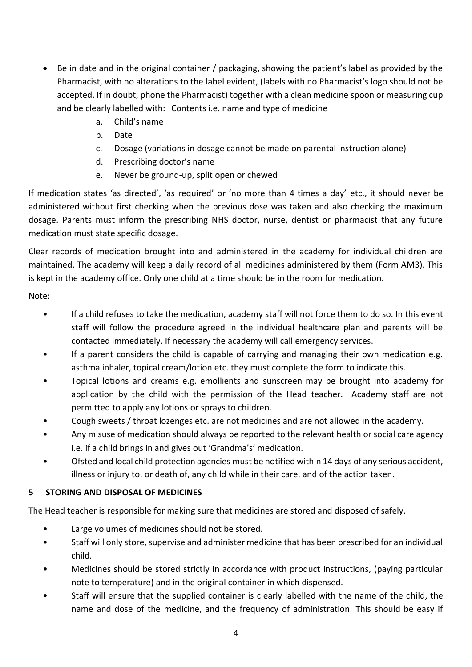- Be in date and in the original container / packaging, showing the patient's label as provided by the Pharmacist, with no alterations to the label evident, (labels with no Pharmacist's logo should not be accepted. If in doubt, phone the Pharmacist) together with a clean medicine spoon or measuring cup and be clearly labelled with: Contents i.e. name and type of medicine
	- a. Child's name
	- b. Date
	- c. Dosage (variations in dosage cannot be made on parental instruction alone)
	- d. Prescribing doctor's name
	- e. Never be ground-up, split open or chewed

If medication states 'as directed', 'as required' or 'no more than 4 times a day' etc., it should never be administered without first checking when the previous dose was taken and also checking the maximum dosage. Parents must inform the prescribing NHS doctor, nurse, dentist or pharmacist that any future medication must state specific dosage.

Clear records of medication brought into and administered in the academy for individual children are maintained. The academy will keep a daily record of all medicines administered by them (Form AM3). This is kept in the academy office. Only one child at a time should be in the room for medication.

Note:

- If a child refuses to take the medication, academy staff will not force them to do so. In this event staff will follow the procedure agreed in the individual healthcare plan and parents will be contacted immediately. If necessary the academy will call emergency services.
- If a parent considers the child is capable of carrying and managing their own medication e.g. asthma inhaler, topical cream/lotion etc. they must complete the form to indicate this.
- Topical lotions and creams e.g. emollients and sunscreen may be brought into academy for application by the child with the permission of the Head teacher. Academy staff are not permitted to apply any lotions or sprays to children.
- Cough sweets / throat lozenges etc. are not medicines and are not allowed in the academy.
- Any misuse of medication should always be reported to the relevant health or social care agency i.e. if a child brings in and gives out 'Grandma's' medication.
- Ofsted and local child protection agencies must be notified within 14 days of any serious accident, illness or injury to, or death of, any child while in their care, and of the action taken.

# <span id="page-3-0"></span>**5 STORING AND DISPOSAL OF MEDICINES**

The Head teacher is responsible for making sure that medicines are stored and disposed of safely.

- Large volumes of medicines should not be stored.
- Staff will only store, supervise and administer medicine that has been prescribed for an individual child.
- Medicines should be stored strictly in accordance with product instructions, (paying particular note to temperature) and in the original container in which dispensed.
- Staff will ensure that the supplied container is clearly labelled with the name of the child, the name and dose of the medicine, and the frequency of administration. This should be easy if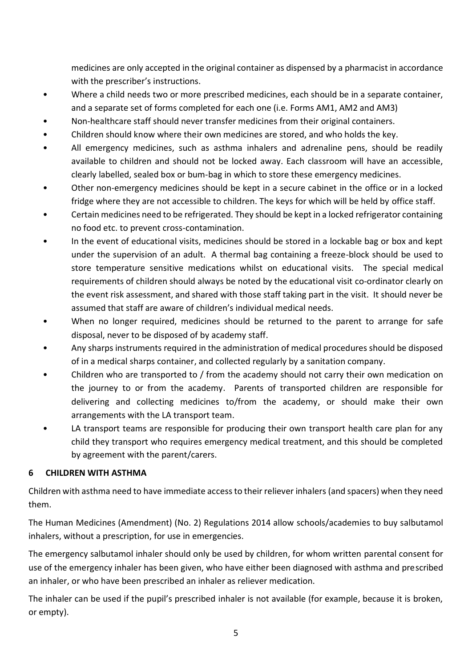medicines are only accepted in the original container as dispensed by a pharmacist in accordance with the prescriber's instructions.

- Where a child needs two or more prescribed medicines, each should be in a separate container, and a separate set of forms completed for each one (i.e. Forms AM1, AM2 and AM3)
- Non-healthcare staff should never transfer medicines from their original containers.
- Children should know where their own medicines are stored, and who holds the key.
- All emergency medicines, such as asthma inhalers and adrenaline pens, should be readily available to children and should not be locked away. Each classroom will have an accessible, clearly labelled, sealed box or bum-bag in which to store these emergency medicines.
- Other non-emergency medicines should be kept in a secure cabinet in the office or in a locked fridge where they are not accessible to children. The keys for which will be held by office staff.
- Certain medicines need to be refrigerated. They should be kept in a locked refrigerator containing no food etc. to prevent cross-contamination.
- In the event of educational visits, medicines should be stored in a lockable bag or box and kept under the supervision of an adult. A thermal bag containing a freeze-block should be used to store temperature sensitive medications whilst on educational visits. The special medical requirements of children should always be noted by the educational visit co-ordinator clearly on the event risk assessment, and shared with those staff taking part in the visit. It should never be assumed that staff are aware of children's individual medical needs.
- When no longer required, medicines should be returned to the parent to arrange for safe disposal, never to be disposed of by academy staff.
- Any sharps instruments required in the administration of medical procedures should be disposed of in a medical sharps container, and collected regularly by a sanitation company.
- Children who are transported to / from the academy should not carry their own medication on the journey to or from the academy. Parents of transported children are responsible for delivering and collecting medicines to/from the academy, or should make their own arrangements with the LA transport team.
- LA transport teams are responsible for producing their own transport health care plan for any child they transport who requires emergency medical treatment, and this should be completed by agreement with the parent/carers.

# <span id="page-4-0"></span>**6 CHILDREN WITH ASTHMA**

Children with asthma need to have immediate access to their reliever inhalers (and spacers) when they need them.

The Human Medicines (Amendment) (No. 2) Regulations 2014 allow schools/academies to buy salbutamol inhalers, without a prescription, for use in emergencies.

The emergency salbutamol inhaler should only be used by children, for whom written parental consent for use of the emergency inhaler has been given, who have either been diagnosed with asthma and prescribed an inhaler, or who have been prescribed an inhaler as reliever medication.

The inhaler can be used if the pupil's prescribed inhaler is not available (for example, because it is broken, or empty).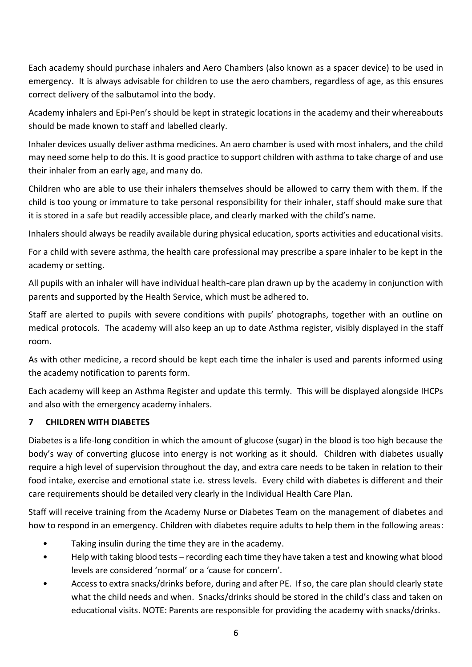Each academy should purchase inhalers and Aero Chambers (also known as a spacer device) to be used in emergency. It is always advisable for children to use the aero chambers, regardless of age, as this ensures correct delivery of the salbutamol into the body.

Academy inhalers and Epi-Pen's should be kept in strategic locations in the academy and their whereabouts should be made known to staff and labelled clearly.

Inhaler devices usually deliver asthma medicines. An aero chamber is used with most inhalers, and the child may need some help to do this. It is good practice to support children with asthma to take charge of and use their inhaler from an early age, and many do.

Children who are able to use their inhalers themselves should be allowed to carry them with them. If the child is too young or immature to take personal responsibility for their inhaler, staff should make sure that it is stored in a safe but readily accessible place, and clearly marked with the child's name.

Inhalers should always be readily available during physical education, sports activities and educational visits.

For a child with severe asthma, the health care professional may prescribe a spare inhaler to be kept in the academy or setting.

All pupils with an inhaler will have individual health-care plan drawn up by the academy in conjunction with parents and supported by the Health Service, which must be adhered to.

Staff are alerted to pupils with severe conditions with pupils' photographs, together with an outline on medical protocols. The academy will also keep an up to date Asthma register, visibly displayed in the staff room.

As with other medicine, a record should be kept each time the inhaler is used and parents informed using the academy notification to parents form.

Each academy will keep an Asthma Register and update this termly. This will be displayed alongside IHCPs and also with the emergency academy inhalers.

#### <span id="page-5-0"></span>**7 CHILDREN WITH DIABETES**

Diabetes is a life-long condition in which the amount of glucose (sugar) in the blood is too high because the body's way of converting glucose into energy is not working as it should. Children with diabetes usually require a high level of supervision throughout the day, and extra care needs to be taken in relation to their food intake, exercise and emotional state i.e. stress levels. Every child with diabetes is different and their care requirements should be detailed very clearly in the Individual Health Care Plan.

Staff will receive training from the Academy Nurse or Diabetes Team on the management of diabetes and how to respond in an emergency. Children with diabetes require adults to help them in the following areas:

- Taking insulin during the time they are in the academy.
- Help with taking blood tests recording each time they have taken a test and knowing what blood levels are considered 'normal' or a 'cause for concern'.
- Access to extra snacks/drinks before, during and after PE. If so, the care plan should clearly state what the child needs and when. Snacks/drinks should be stored in the child's class and taken on educational visits. NOTE: Parents are responsible for providing the academy with snacks/drinks.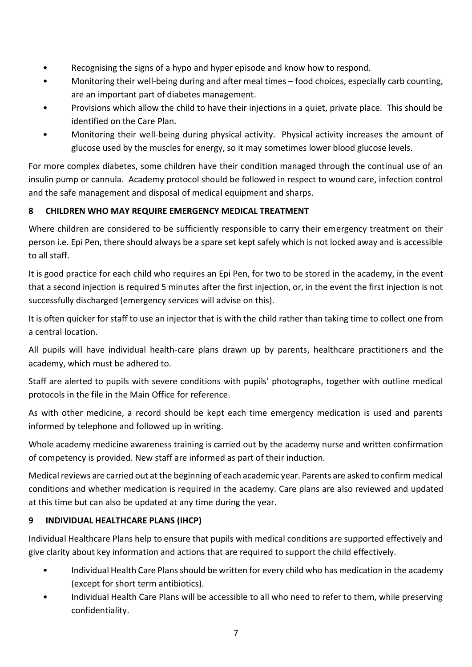- Recognising the signs of a hypo and hyper episode and know how to respond.
- Monitoring their well-being during and after meal times food choices, especially carb counting, are an important part of diabetes management.
- Provisions which allow the child to have their injections in a quiet, private place. This should be identified on the Care Plan.
- Monitoring their well-being during physical activity. Physical activity increases the amount of glucose used by the muscles for energy, so it may sometimes lower blood glucose levels.

For more complex diabetes, some children have their condition managed through the continual use of an insulin pump or cannula. Academy protocol should be followed in respect to wound care, infection control and the safe management and disposal of medical equipment and sharps.

# <span id="page-6-0"></span>**8 CHILDREN WHO MAY REQUIRE EMERGENCY MEDICAL TREATMENT**

Where children are considered to be sufficiently responsible to carry their emergency treatment on their person i.e. Epi Pen, there should always be a spare set kept safely which is not locked away and is accessible to all staff.

It is good practice for each child who requires an Epi Pen, for two to be stored in the academy, in the event that a second injection is required 5 minutes after the first injection, or, in the event the first injection is not successfully discharged (emergency services will advise on this).

It is often quicker for staff to use an injector that is with the child rather than taking time to collect one from a central location.

All pupils will have individual health-care plans drawn up by parents, healthcare practitioners and the academy, which must be adhered to.

Staff are alerted to pupils with severe conditions with pupils' photographs, together with outline medical protocols in the file in the Main Office for reference.

As with other medicine, a record should be kept each time emergency medication is used and parents informed by telephone and followed up in writing.

Whole academy medicine awareness training is carried out by the academy nurse and written confirmation of competency is provided. New staff are informed as part of their induction.

Medical reviews are carried out at the beginning of each academic year. Parents are asked to confirm medical conditions and whether medication is required in the academy. Care plans are also reviewed and updated at this time but can also be updated at any time during the year.

# <span id="page-6-1"></span>**9 INDIVIDUAL HEALTHCARE PLANS (IHCP)**

Individual Healthcare Plans help to ensure that pupils with medical conditions are supported effectively and give clarity about key information and actions that are required to support the child effectively.

- Individual Health Care Plans should be written for every child who has medication in the academy (except for short term antibiotics).
- Individual Health Care Plans will be accessible to all who need to refer to them, while preserving confidentiality.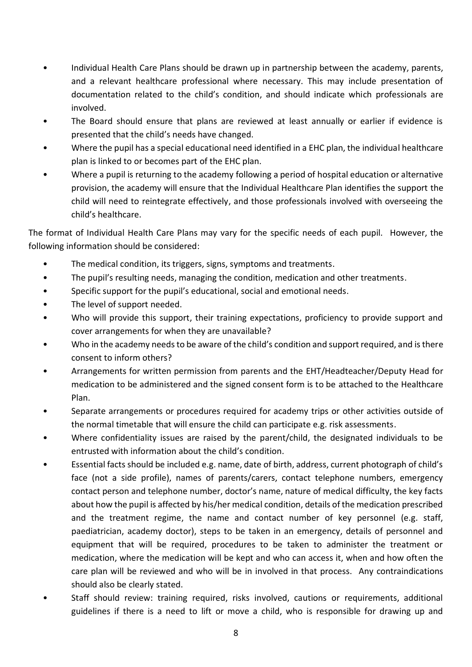- Individual Health Care Plans should be drawn up in partnership between the academy, parents, and a relevant healthcare professional where necessary. This may include presentation of documentation related to the child's condition, and should indicate which professionals are involved.
- The Board should ensure that plans are reviewed at least annually or earlier if evidence is presented that the child's needs have changed.
- Where the pupil has a special educational need identified in a EHC plan, the individual healthcare plan is linked to or becomes part of the EHC plan.
- Where a pupil is returning to the academy following a period of hospital education or alternative provision, the academy will ensure that the Individual Healthcare Plan identifies the support the child will need to reintegrate effectively, and those professionals involved with overseeing the child's healthcare.

The format of Individual Health Care Plans may vary for the specific needs of each pupil. However, the following information should be considered:

- The medical condition, its triggers, signs, symptoms and treatments.
- The pupil's resulting needs, managing the condition, medication and other treatments.
- Specific support for the pupil's educational, social and emotional needs.
- The level of support needed.
- Who will provide this support, their training expectations, proficiency to provide support and cover arrangements for when they are unavailable?
- Who in the academy needs to be aware of the child's condition and support required, and is there consent to inform others?
- Arrangements for written permission from parents and the EHT/Headteacher/Deputy Head for medication to be administered and the signed consent form is to be attached to the Healthcare Plan.
- Separate arrangements or procedures required for academy trips or other activities outside of the normal timetable that will ensure the child can participate e.g. risk assessments.
- Where confidentiality issues are raised by the parent/child, the designated individuals to be entrusted with information about the child's condition.
- Essential facts should be included e.g. name, date of birth, address, current photograph of child's face (not a side profile), names of parents/carers, contact telephone numbers, emergency contact person and telephone number, doctor's name, nature of medical difficulty, the key facts about how the pupil is affected by his/her medical condition, details of the medication prescribed and the treatment regime, the name and contact number of key personnel (e.g. staff, paediatrician, academy doctor), steps to be taken in an emergency, details of personnel and equipment that will be required, procedures to be taken to administer the treatment or medication, where the medication will be kept and who can access it, when and how often the care plan will be reviewed and who will be in involved in that process. Any contraindications should also be clearly stated.
- Staff should review: training required, risks involved, cautions or requirements, additional guidelines if there is a need to lift or move a child, who is responsible for drawing up and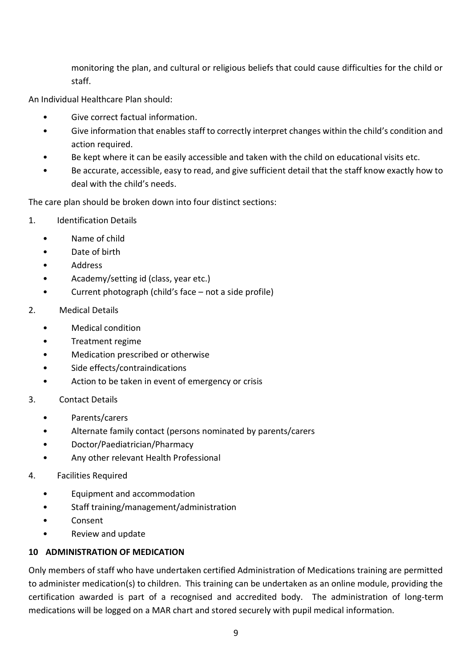monitoring the plan, and cultural or religious beliefs that could cause difficulties for the child or staff.

An Individual Healthcare Plan should:

- Give correct factual information.
- Give information that enables staff to correctly interpret changes within the child's condition and action required.
- Be kept where it can be easily accessible and taken with the child on educational visits etc.
- Be accurate, accessible, easy to read, and give sufficient detail that the staff know exactly how to deal with the child's needs.

The care plan should be broken down into four distinct sections:

- 1. Identification Details
	- Name of child
	- Date of birth
	- Address
	- Academy/setting id (class, year etc.)
	- Current photograph (child's face not a side profile)
- 2. Medical Details
	- Medical condition
	- Treatment regime
	- Medication prescribed or otherwise
	- Side effects/contraindications
	- Action to be taken in event of emergency or crisis
- 3. Contact Details
	- Parents/carers
	- Alternate family contact (persons nominated by parents/carers
	- Doctor/Paediatrician/Pharmacy
	- Any other relevant Health Professional
- 4. Facilities Required
	- Equipment and accommodation
	- Staff training/management/administration
	- Consent
	- Review and update

#### <span id="page-8-0"></span>**10 ADMINISTRATION OF MEDICATION**

Only members of staff who have undertaken certified Administration of Medications training are permitted to administer medication(s) to children. This training can be undertaken as an online module, providing the certification awarded is part of a recognised and accredited body. The administration of long-term medications will be logged on a MAR chart and stored securely with pupil medical information.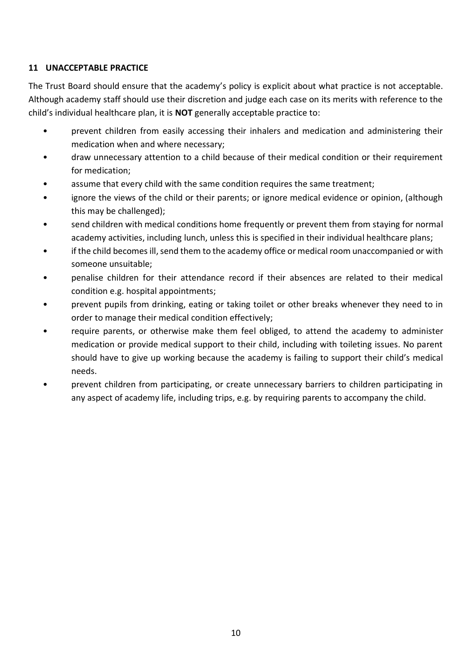#### **11 UNACCEPTABLE PRACTICE**

The Trust Board should ensure that the academy's policy is explicit about what practice is not acceptable. Although academy staff should use their discretion and judge each case on its merits with reference to the child's individual healthcare plan, it is **NOT** generally acceptable practice to:

- prevent children from easily accessing their inhalers and medication and administering their medication when and where necessary;
- draw unnecessary attention to a child because of their medical condition or their requirement for medication;
- assume that every child with the same condition requires the same treatment;
- ignore the views of the child or their parents; or ignore medical evidence or opinion, (although this may be challenged);
- send children with medical conditions home frequently or prevent them from staying for normal academy activities, including lunch, unless this is specified in their individual healthcare plans;
- if the child becomes ill, send them to the academy office or medical room unaccompanied or with someone unsuitable;
- penalise children for their attendance record if their absences are related to their medical condition e.g. hospital appointments;
- prevent pupils from drinking, eating or taking toilet or other breaks whenever they need to in order to manage their medical condition effectively;
- require parents, or otherwise make them feel obliged, to attend the academy to administer medication or provide medical support to their child, including with toileting issues. No parent should have to give up working because the academy is failing to support their child's medical needs.
- prevent children from participating, or create unnecessary barriers to children participating in any aspect of academy life, including trips, e.g. by requiring parents to accompany the child.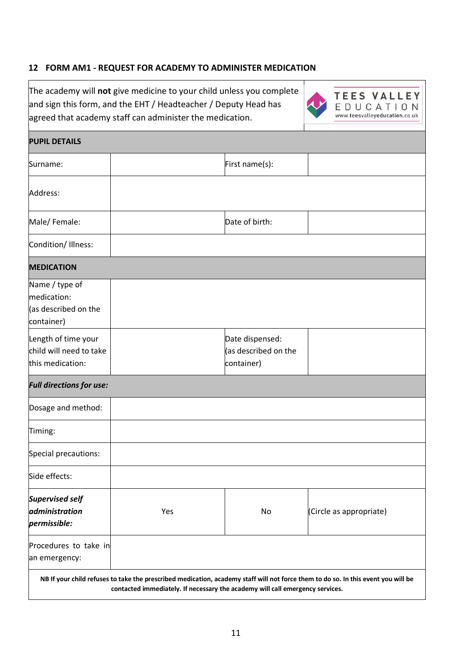#### <span id="page-10-0"></span>**12 FORM AM1 - REQUEST FOR ACADEMY TO ADMINISTER MEDICATION**

The academy will **not** give medicine to your child unless you complete and sign this form, and the EHT / Headteacher / Deputy Head has agreed that academy staff can administer the medication.



 $\mathbf{I}$ 

**TEES VALLEY** EDUCATION www.teesvalleyeducation.co.uk

| <b>PUPIL DETAILS</b>                                                |     |                                                                               |                                                                                                                                   |  |
|---------------------------------------------------------------------|-----|-------------------------------------------------------------------------------|-----------------------------------------------------------------------------------------------------------------------------------|--|
| Surname:                                                            |     | First name(s):                                                                |                                                                                                                                   |  |
| Address:                                                            |     |                                                                               |                                                                                                                                   |  |
| Male/Female:                                                        |     | Date of birth:                                                                |                                                                                                                                   |  |
| Condition/ Illness:                                                 |     |                                                                               |                                                                                                                                   |  |
| <b>MEDICATION</b>                                                   |     |                                                                               |                                                                                                                                   |  |
| Name / type of<br>medication:<br>(as described on the<br>container) |     |                                                                               |                                                                                                                                   |  |
| Length of time your<br>child will need to take<br>this medication:  |     | Date dispensed:<br>(as described on the<br>container)                         |                                                                                                                                   |  |
| <b>Full directions for use:</b>                                     |     |                                                                               |                                                                                                                                   |  |
| Dosage and method:                                                  |     |                                                                               |                                                                                                                                   |  |
| Timing:                                                             |     |                                                                               |                                                                                                                                   |  |
| Special precautions:                                                |     |                                                                               |                                                                                                                                   |  |
| Side effects:                                                       |     |                                                                               |                                                                                                                                   |  |
| <b>Supervised self</b><br>administration<br>permissible:            | Yes | No                                                                            | (Circle as appropriate)                                                                                                           |  |
| Procedures to take in<br>an emergency:                              |     |                                                                               |                                                                                                                                   |  |
|                                                                     |     | contacted immediately. If necessary the academy will call emergency services. | NB If your child refuses to take the prescribed medication, academy staff will not force them to do so. In this event you will be |  |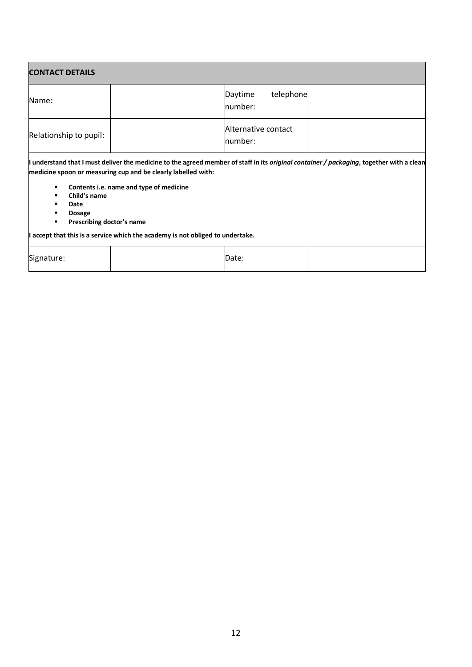| <b>CONTACT DETAILS</b>                                                                 |                                                                                                          |                                 |                                                                                                                                          |  |
|----------------------------------------------------------------------------------------|----------------------------------------------------------------------------------------------------------|---------------------------------|------------------------------------------------------------------------------------------------------------------------------------------|--|
| Name:                                                                                  |                                                                                                          | telephone<br>Daytime<br>number: |                                                                                                                                          |  |
| Relationship to pupil:                                                                 |                                                                                                          | Alternative contact<br>number:  |                                                                                                                                          |  |
| ٠<br>Child's name<br>٠<br>Date<br>٠<br><b>Dosage</b><br>Prescribing doctor's name<br>٠ | medicine spoon or measuring cup and be clearly labelled with:<br>Contents i.e. name and type of medicine |                                 | I understand that I must deliver the medicine to the agreed member of staff in its original container / packaging, together with a clean |  |

**I accept that this is a service which the academy is not obliged to undertake.**

| Signature: | Date. |  |
|------------|-------|--|
|            |       |  |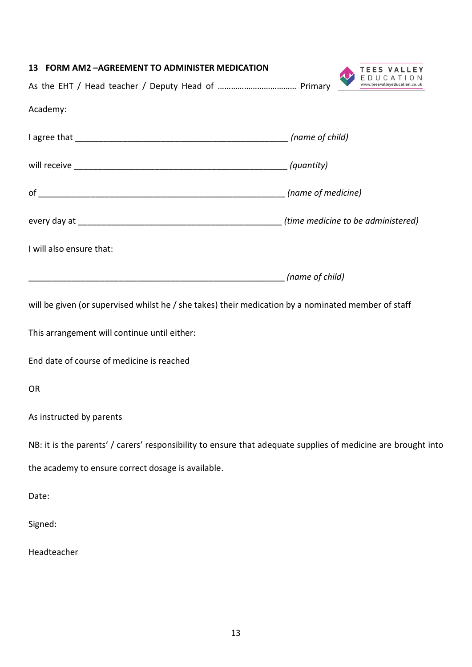<span id="page-12-0"></span>

| 13 FORM AM2 - AGREEMENT TO ADMINISTER MEDICATION                                                              |                 | <b>TEES VALLEY</b><br>EDUCATION |
|---------------------------------------------------------------------------------------------------------------|-----------------|---------------------------------|
|                                                                                                               |                 | www.teesvalleyeducation.co.uk   |
| Academy:                                                                                                      |                 |                                 |
|                                                                                                               |                 |                                 |
|                                                                                                               |                 |                                 |
|                                                                                                               |                 |                                 |
|                                                                                                               |                 |                                 |
| I will also ensure that:                                                                                      |                 |                                 |
|                                                                                                               | (name of child) |                                 |
| will be given (or supervised whilst he / she takes) their medication by a nominated member of staff           |                 |                                 |
| This arrangement will continue until either:                                                                  |                 |                                 |
| End date of course of medicine is reached                                                                     |                 |                                 |
| <b>OR</b>                                                                                                     |                 |                                 |
| As instructed by parents                                                                                      |                 |                                 |
| NB: it is the parents' / carers' responsibility to ensure that adequate supplies of medicine are brought into |                 |                                 |
| the academy to ensure correct dosage is available.                                                            |                 |                                 |
| Date:                                                                                                         |                 |                                 |
| Signed:                                                                                                       |                 |                                 |
| Headteacher                                                                                                   |                 |                                 |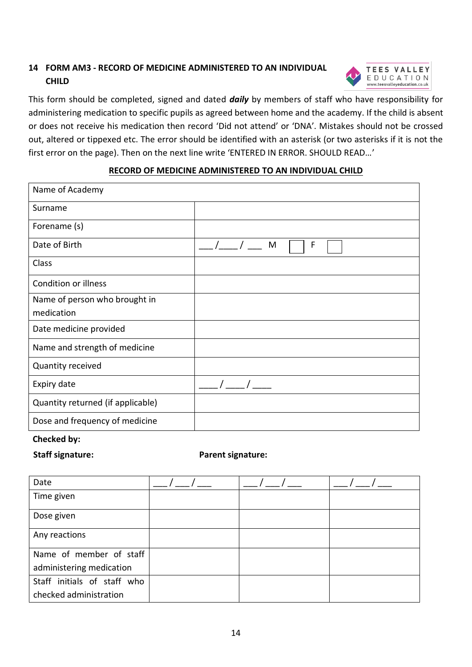# <span id="page-13-0"></span>**14 FORM AM3 - RECORD OF MEDICINE ADMINISTERED TO AN INDIVIDUAL CHILD**



This form should be completed, signed and dated *daily* by members of staff who have responsibility for administering medication to specific pupils as agreed between home and the academy. If the child is absent or does not receive his medication then record 'Did not attend' or 'DNA'. Mistakes should not be crossed out, altered or tippexed etc. The error should be identified with an asterisk (or two asterisks if it is not the first error on the page). Then on the next line write 'ENTERED IN ERROR. SHOULD READ…'

#### **RECORD OF MEDICINE ADMINISTERED TO AN INDIVIDUAL CHILD**

| Name of Academy                   |        |
|-----------------------------------|--------|
| Surname                           |        |
| Forename (s)                      |        |
| Date of Birth                     | F<br>M |
| Class                             |        |
| <b>Condition or illness</b>       |        |
| Name of person who brought in     |        |
| medication                        |        |
| Date medicine provided            |        |
| Name and strength of medicine     |        |
| Quantity received                 |        |
| Expiry date                       |        |
| Quantity returned (if applicable) |        |
| Dose and frequency of medicine    |        |

### **Checked by:**

#### **Staff signature: Parent signature:**

| Date                        |  |  |
|-----------------------------|--|--|
| Time given                  |  |  |
| Dose given                  |  |  |
| Any reactions               |  |  |
| Name of member of staff     |  |  |
| administering medication    |  |  |
| Staff initials of staff who |  |  |
| checked administration      |  |  |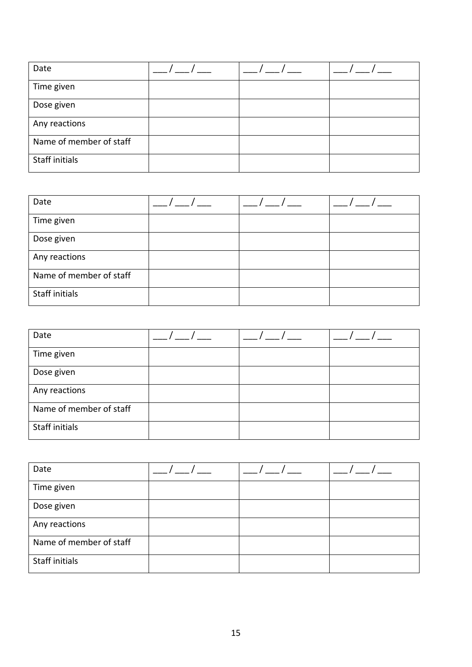| Date                    |  |  |
|-------------------------|--|--|
| Time given              |  |  |
| Dose given              |  |  |
| Any reactions           |  |  |
| Name of member of staff |  |  |
| Staff initials          |  |  |

| Date                    |  |  |
|-------------------------|--|--|
| Time given              |  |  |
| Dose given              |  |  |
| Any reactions           |  |  |
| Name of member of staff |  |  |
| Staff initials          |  |  |

| Date                    |  |  |
|-------------------------|--|--|
| Time given              |  |  |
| Dose given              |  |  |
| Any reactions           |  |  |
| Name of member of staff |  |  |
| Staff initials          |  |  |

| Date                    |  |  |
|-------------------------|--|--|
| Time given              |  |  |
| Dose given              |  |  |
| Any reactions           |  |  |
| Name of member of staff |  |  |
| Staff initials          |  |  |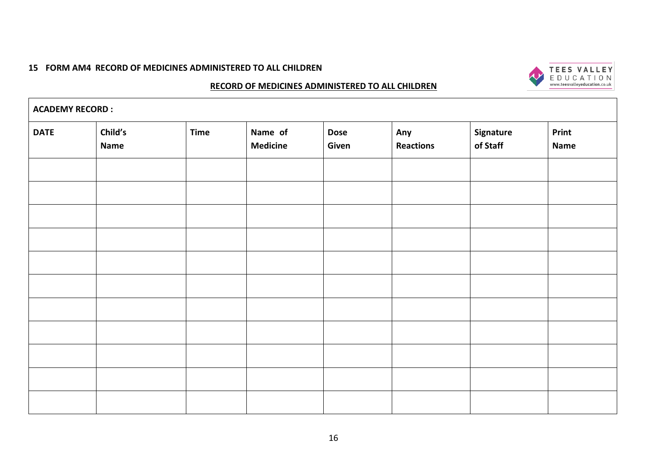#### **15 FORM AM4 RECORD OF MEDICINES ADMINISTERED TO ALL CHILDREN**



#### **RECORD OF MEDICINES ADMINISTERED TO ALL CHILDREN**

<span id="page-15-0"></span>

| <b>ACADEMY RECORD :</b> |                        |             |                            |                      |                         |                       |                      |
|-------------------------|------------------------|-------------|----------------------------|----------------------|-------------------------|-----------------------|----------------------|
| <b>DATE</b>             | Child's<br><b>Name</b> | <b>Time</b> | Name of<br><b>Medicine</b> | <b>Dose</b><br>Given | Any<br><b>Reactions</b> | Signature<br>of Staff | Print<br><b>Name</b> |
|                         |                        |             |                            |                      |                         |                       |                      |
|                         |                        |             |                            |                      |                         |                       |                      |
|                         |                        |             |                            |                      |                         |                       |                      |
|                         |                        |             |                            |                      |                         |                       |                      |
|                         |                        |             |                            |                      |                         |                       |                      |
|                         |                        |             |                            |                      |                         |                       |                      |
|                         |                        |             |                            |                      |                         |                       |                      |
|                         |                        |             |                            |                      |                         |                       |                      |
|                         |                        |             |                            |                      |                         |                       |                      |
|                         |                        |             |                            |                      |                         |                       |                      |
|                         |                        |             |                            |                      |                         |                       |                      |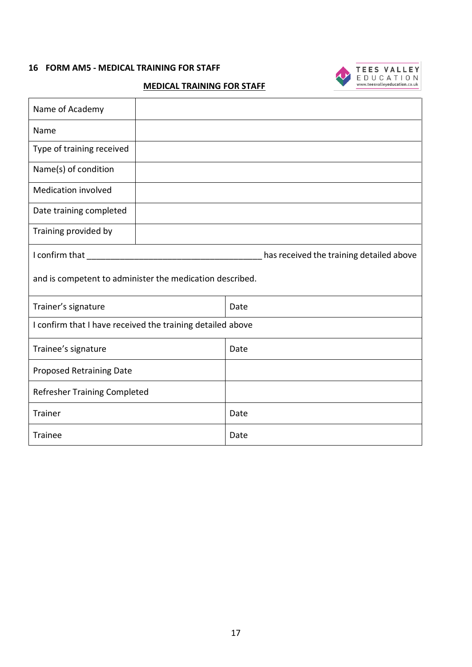#### <span id="page-16-0"></span>**16 FORM AM5 - MEDICAL TRAINING FOR STAFF**



#### **MEDICAL TRAINING FOR STAFF**

| Name of Academy                                            |  |      |  |  |
|------------------------------------------------------------|--|------|--|--|
| Name                                                       |  |      |  |  |
| Type of training received                                  |  |      |  |  |
| Name(s) of condition                                       |  |      |  |  |
| <b>Medication involved</b>                                 |  |      |  |  |
| Date training completed                                    |  |      |  |  |
| Training provided by                                       |  |      |  |  |
| I confirm that<br>has received the training detailed above |  |      |  |  |
| and is competent to administer the medication described.   |  |      |  |  |
|                                                            |  |      |  |  |
| Trainer's signature                                        |  | Date |  |  |
| I confirm that I have received the training detailed above |  |      |  |  |
| Trainee's signature                                        |  | Date |  |  |
| <b>Proposed Retraining Date</b>                            |  |      |  |  |
| <b>Refresher Training Completed</b>                        |  |      |  |  |
| <b>Trainer</b>                                             |  | Date |  |  |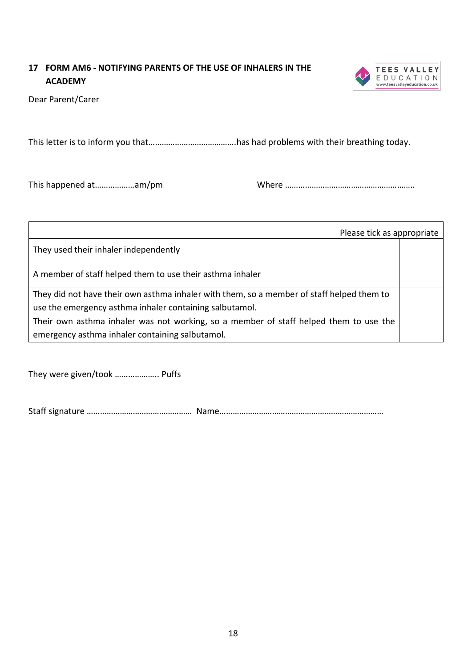# <span id="page-17-0"></span>**17 FORM AM6 - NOTIFYING PARENTS OF THE USE OF INHALERS IN THE ACADEMY**



Dear Parent/Carer

This letter is to inform you that………………………………….has had problems with their breathing today.

This happened at………………am/pm Where …………………………………………………..

| Please tick as appropriate                                                                |  |
|-------------------------------------------------------------------------------------------|--|
| They used their inhaler independently                                                     |  |
| A member of staff helped them to use their asthma inhaler                                 |  |
| They did not have their own asthma inhaler with them, so a member of staff helped them to |  |
| use the emergency asthma inhaler containing salbutamol.                                   |  |
| Their own asthma inhaler was not working, so a member of staff helped them to use the     |  |
| emergency asthma inhaler containing salbutamol.                                           |  |

They were given/took ……………….. Puffs

Staff signature ………………………………………… Name…………………………………………………………………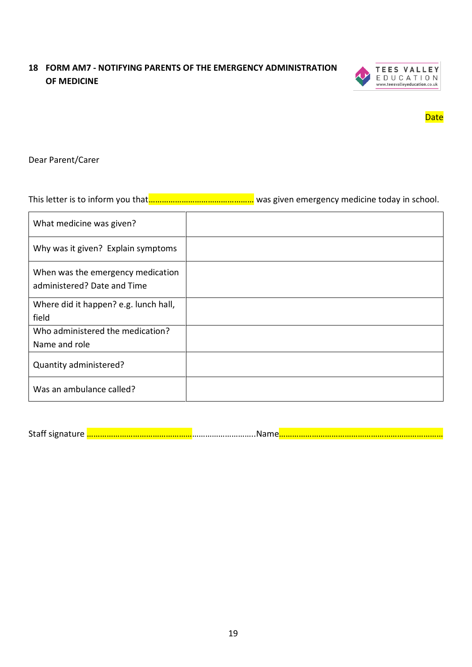# <span id="page-18-0"></span>**18 FORM AM7 - NOTIFYING PARENTS OF THE EMERGENCY ADMINISTRATION OF MEDICINE**



**Date** 

#### Dear Parent/Carer

This letter is to inform you that <u>…………………………………………</u> was given emergency medicine today in school.

| What medicine was given?                                         |  |
|------------------------------------------------------------------|--|
| Why was it given? Explain symptoms                               |  |
| When was the emergency medication<br>administered? Date and Time |  |
| Where did it happen? e.g. lunch hall,                            |  |
| field                                                            |  |
| Who administered the medication?                                 |  |
| Name and role                                                    |  |
| Quantity administered?                                           |  |
| Was an ambulance called?                                         |  |

Staff signature <mark>……………………………………………</mark>…………………………Name<mark>………………………………………………………………………</mark>………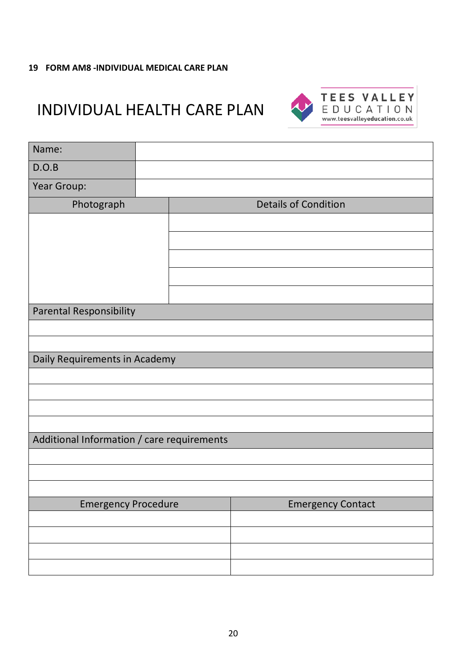#### <span id="page-19-0"></span>**19 FORM AM8 -INDIVIDUAL MEDICAL CARE PLAN**

# INDIVIDUAL HEALTH CARE PLAN



| Name:                                      |  |                             |  |  |  |
|--------------------------------------------|--|-----------------------------|--|--|--|
| D.O.B                                      |  |                             |  |  |  |
| Year Group:                                |  |                             |  |  |  |
| Photograph                                 |  | <b>Details of Condition</b> |  |  |  |
|                                            |  |                             |  |  |  |
|                                            |  |                             |  |  |  |
|                                            |  |                             |  |  |  |
|                                            |  |                             |  |  |  |
|                                            |  |                             |  |  |  |
| <b>Parental Responsibility</b>             |  |                             |  |  |  |
|                                            |  |                             |  |  |  |
|                                            |  |                             |  |  |  |
| Daily Requirements in Academy              |  |                             |  |  |  |
|                                            |  |                             |  |  |  |
|                                            |  |                             |  |  |  |
|                                            |  |                             |  |  |  |
| Additional Information / care requirements |  |                             |  |  |  |
|                                            |  |                             |  |  |  |
|                                            |  |                             |  |  |  |
|                                            |  |                             |  |  |  |
| <b>Emergency Procedure</b>                 |  | <b>Emergency Contact</b>    |  |  |  |
|                                            |  |                             |  |  |  |
|                                            |  |                             |  |  |  |
|                                            |  |                             |  |  |  |
|                                            |  |                             |  |  |  |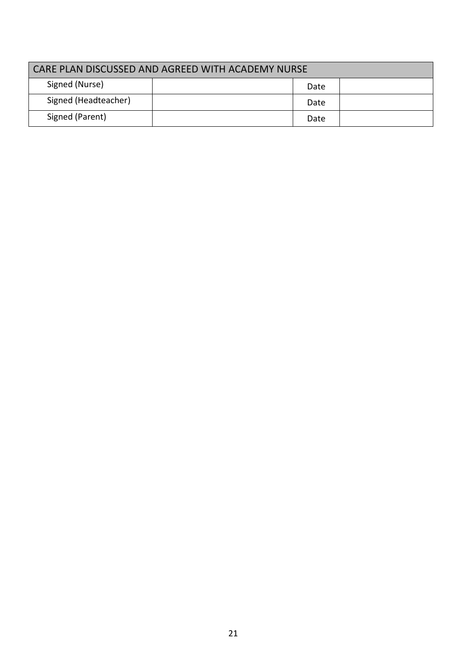| CARE PLAN DISCUSSED AND AGREED WITH ACADEMY NURSE |  |      |  |
|---------------------------------------------------|--|------|--|
| Signed (Nurse)                                    |  | Date |  |
| Signed (Headteacher)                              |  | Date |  |
| Signed (Parent)                                   |  | Date |  |